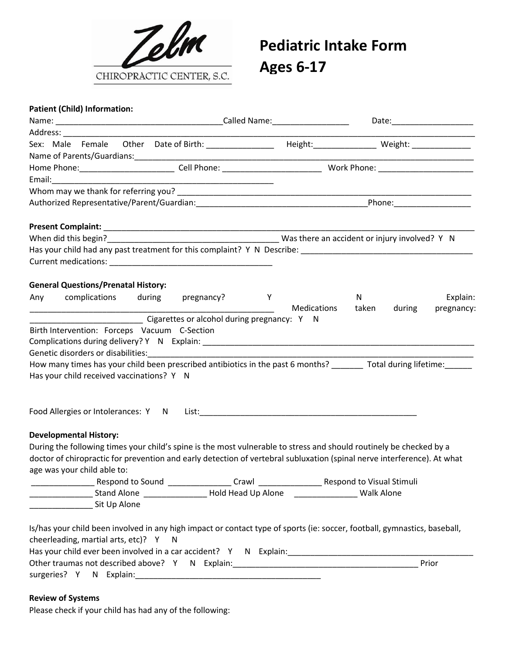

## **Pediatric Intake Form Ages 6-17**

## **Patient (Child) Information:**

| pregnancy? Y<br>complications<br>during<br>N<br><b>Medications</b><br>taken<br>during<br>Cigarettes or alcohol during pregnancy: Y N<br>How many times has your child been prescribed antibiotics in the past 6 months? Total during lifetime:<br>_Stand Alone ____________________ Hold Head Up Alone ___________________________<br><b>Walk Alone</b><br>Sit Up Alone                                                                                                                                                                                                                                                                                                                                                                       | Prior                                                                                                                                         |  |  |  |  | Date:_________________________ |
|-----------------------------------------------------------------------------------------------------------------------------------------------------------------------------------------------------------------------------------------------------------------------------------------------------------------------------------------------------------------------------------------------------------------------------------------------------------------------------------------------------------------------------------------------------------------------------------------------------------------------------------------------------------------------------------------------------------------------------------------------|-----------------------------------------------------------------------------------------------------------------------------------------------|--|--|--|--|--------------------------------|
| Sex: Male Female Other Date of Birth: _______________ Height: ____________ Weight: ______________                                                                                                                                                                                                                                                                                                                                                                                                                                                                                                                                                                                                                                             |                                                                                                                                               |  |  |  |  |                                |
|                                                                                                                                                                                                                                                                                                                                                                                                                                                                                                                                                                                                                                                                                                                                               |                                                                                                                                               |  |  |  |  |                                |
|                                                                                                                                                                                                                                                                                                                                                                                                                                                                                                                                                                                                                                                                                                                                               |                                                                                                                                               |  |  |  |  |                                |
| Email: <u>Communication</u><br><b>General Questions/Prenatal History:</b><br>Any<br>Birth Intervention: Forceps Vacuum C-Section<br>Has your child received vaccinations? Y N<br>Food Allergies or Intolerances: Y N List: 1988 and 2008 and 2008 and 2008 and 2008 and 2008 and 2008 and 2008<br><b>Developmental History:</b><br>During the following times your child's spine is the most vulnerable to stress and should routinely be checked by a<br>doctor of chiropractic for prevention and early detection of vertebral subluxation (spinal nerve interference). At what<br>age was your child able to:<br>Is/has your child been involved in any high impact or contact type of sports (ie: soccer, football, gymnastics, baseball, | cheerleading, martial arts, etc)? Y N<br>Has your child ever been involved in a car accident? Y N Explain: __________________________________ |  |  |  |  |                                |
|                                                                                                                                                                                                                                                                                                                                                                                                                                                                                                                                                                                                                                                                                                                                               |                                                                                                                                               |  |  |  |  |                                |
|                                                                                                                                                                                                                                                                                                                                                                                                                                                                                                                                                                                                                                                                                                                                               |                                                                                                                                               |  |  |  |  |                                |
|                                                                                                                                                                                                                                                                                                                                                                                                                                                                                                                                                                                                                                                                                                                                               |                                                                                                                                               |  |  |  |  |                                |
|                                                                                                                                                                                                                                                                                                                                                                                                                                                                                                                                                                                                                                                                                                                                               |                                                                                                                                               |  |  |  |  |                                |
|                                                                                                                                                                                                                                                                                                                                                                                                                                                                                                                                                                                                                                                                                                                                               |                                                                                                                                               |  |  |  |  |                                |
|                                                                                                                                                                                                                                                                                                                                                                                                                                                                                                                                                                                                                                                                                                                                               |                                                                                                                                               |  |  |  |  |                                |
|                                                                                                                                                                                                                                                                                                                                                                                                                                                                                                                                                                                                                                                                                                                                               |                                                                                                                                               |  |  |  |  |                                |
|                                                                                                                                                                                                                                                                                                                                                                                                                                                                                                                                                                                                                                                                                                                                               |                                                                                                                                               |  |  |  |  |                                |
|                                                                                                                                                                                                                                                                                                                                                                                                                                                                                                                                                                                                                                                                                                                                               |                                                                                                                                               |  |  |  |  | Explain:                       |
|                                                                                                                                                                                                                                                                                                                                                                                                                                                                                                                                                                                                                                                                                                                                               |                                                                                                                                               |  |  |  |  | pregnancy:                     |
|                                                                                                                                                                                                                                                                                                                                                                                                                                                                                                                                                                                                                                                                                                                                               |                                                                                                                                               |  |  |  |  |                                |
|                                                                                                                                                                                                                                                                                                                                                                                                                                                                                                                                                                                                                                                                                                                                               |                                                                                                                                               |  |  |  |  |                                |
|                                                                                                                                                                                                                                                                                                                                                                                                                                                                                                                                                                                                                                                                                                                                               |                                                                                                                                               |  |  |  |  |                                |
|                                                                                                                                                                                                                                                                                                                                                                                                                                                                                                                                                                                                                                                                                                                                               |                                                                                                                                               |  |  |  |  |                                |
|                                                                                                                                                                                                                                                                                                                                                                                                                                                                                                                                                                                                                                                                                                                                               |                                                                                                                                               |  |  |  |  |                                |
|                                                                                                                                                                                                                                                                                                                                                                                                                                                                                                                                                                                                                                                                                                                                               |                                                                                                                                               |  |  |  |  |                                |
|                                                                                                                                                                                                                                                                                                                                                                                                                                                                                                                                                                                                                                                                                                                                               |                                                                                                                                               |  |  |  |  |                                |
|                                                                                                                                                                                                                                                                                                                                                                                                                                                                                                                                                                                                                                                                                                                                               |                                                                                                                                               |  |  |  |  |                                |
|                                                                                                                                                                                                                                                                                                                                                                                                                                                                                                                                                                                                                                                                                                                                               |                                                                                                                                               |  |  |  |  |                                |
|                                                                                                                                                                                                                                                                                                                                                                                                                                                                                                                                                                                                                                                                                                                                               |                                                                                                                                               |  |  |  |  |                                |
|                                                                                                                                                                                                                                                                                                                                                                                                                                                                                                                                                                                                                                                                                                                                               |                                                                                                                                               |  |  |  |  |                                |
|                                                                                                                                                                                                                                                                                                                                                                                                                                                                                                                                                                                                                                                                                                                                               |                                                                                                                                               |  |  |  |  |                                |
|                                                                                                                                                                                                                                                                                                                                                                                                                                                                                                                                                                                                                                                                                                                                               |                                                                                                                                               |  |  |  |  |                                |
|                                                                                                                                                                                                                                                                                                                                                                                                                                                                                                                                                                                                                                                                                                                                               |                                                                                                                                               |  |  |  |  |                                |
|                                                                                                                                                                                                                                                                                                                                                                                                                                                                                                                                                                                                                                                                                                                                               |                                                                                                                                               |  |  |  |  |                                |
|                                                                                                                                                                                                                                                                                                                                                                                                                                                                                                                                                                                                                                                                                                                                               |                                                                                                                                               |  |  |  |  |                                |
|                                                                                                                                                                                                                                                                                                                                                                                                                                                                                                                                                                                                                                                                                                                                               |                                                                                                                                               |  |  |  |  |                                |
|                                                                                                                                                                                                                                                                                                                                                                                                                                                                                                                                                                                                                                                                                                                                               |                                                                                                                                               |  |  |  |  |                                |
|                                                                                                                                                                                                                                                                                                                                                                                                                                                                                                                                                                                                                                                                                                                                               |                                                                                                                                               |  |  |  |  |                                |
|                                                                                                                                                                                                                                                                                                                                                                                                                                                                                                                                                                                                                                                                                                                                               | surgeries? Y N Explain: Surgeries Products and Surgeries Products and Surgeries Products and Surgeries Products                               |  |  |  |  |                                |

## **Review of Systems**

Please check if your child has had any of the following: